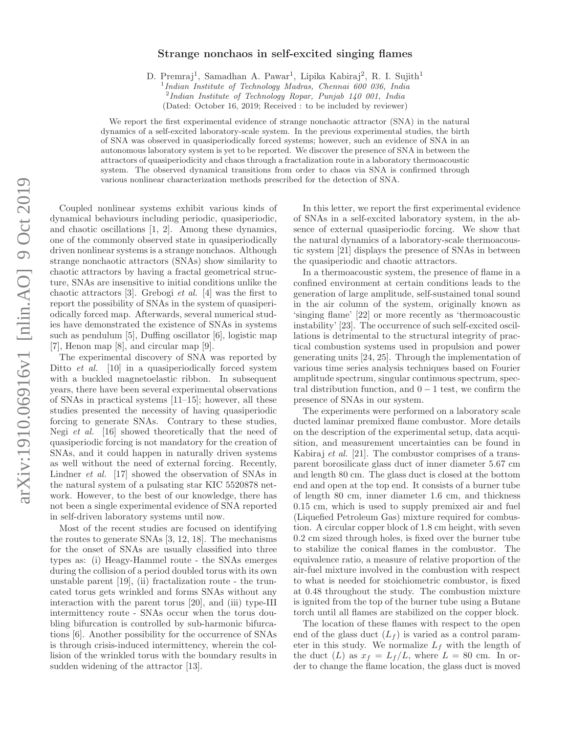## Strange nonchaos in self-excited singing flames

D. Premraj<sup>1</sup>, Samadhan A. Pawar<sup>1</sup>, Lipika Kabiraj<sup>2</sup>, R. I. Sujith<sup>1</sup>

<sup>1</sup>Indian Institute of Technology Madras, Chennai 600 036, India 2 Indian Institute of Technology Ropar, Punjab 140 001, India

(Dated: October 16, 2019; Received : to be included by reviewer)

We report the first experimental evidence of strange nonchaotic attractor (SNA) in the natural dynamics of a self-excited laboratory-scale system. In the previous experimental studies, the birth of SNA was observed in quasiperiodically forced systems; however, such an evidence of SNA in an autonomous laboratory system is yet to be reported. We discover the presence of SNA in between the attractors of quasiperiodicity and chaos through a fractalization route in a laboratory thermoacoustic system. The observed dynamical transitions from order to chaos via SNA is confirmed through various nonlinear characterization methods prescribed for the detection of SNA.

Coupled nonlinear systems exhibit various kinds of dynamical behaviours including periodic, quasiperiodic, and chaotic oscillations [1, 2]. Among these dynamics, one of the commonly observed state in quasiperiodically driven nonlinear systems is a strange nonchaos. Although strange nonchaotic attractors (SNAs) show similarity to chaotic attractors by having a fractal geometrical structure, SNAs are insensitive to initial conditions unlike the chaotic attractors [3]. Grebogi et al. [4] was the first to report the possibility of SNAs in the system of quasiperiodically forced map. Afterwards, several numerical studies have demonstrated the existence of SNAs in systems such as pendulum [5], Duffing oscillator [6], logistic map [7], Henon map [8], and circular map [9].

The experimental discovery of SNA was reported by Ditto *et al.* [10] in a quasiperiodically forced system with a buckled magnetoelastic ribbon. In subsequent years, there have been several experimental observations of SNAs in practical systems [11–15]; however, all these studies presented the necessity of having quasiperiodic forcing to generate SNAs. Contrary to these studies, Negi et al. [16] showed theoretically that the need of quasiperiodic forcing is not mandatory for the creation of SNAs, and it could happen in naturally driven systems as well without the need of external forcing. Recently, Lindner et al. [17] showed the observation of SNAs in the natural system of a pulsating star KIC 5520878 network. However, to the best of our knowledge, there has not been a single experimental evidence of SNA reported in self-driven laboratory systems until now.

Most of the recent studies are focused on identifying the routes to generate SNAs [3, 12, 18]. The mechanisms for the onset of SNAs are usually classified into three types as: (i) Heagy-Hammel route - the SNAs emerges during the collision of a period doubled torus with its own unstable parent [19], (ii) fractalization route - the truncated torus gets wrinkled and forms SNAs without any interaction with the parent torus [20], and (iii) type-III intermittency route - SNAs occur when the torus doubling bifurcation is controlled by sub-harmonic bifurcations [6]. Another possibility for the occurrence of SNAs is through crisis-induced intermittency, wherein the collision of the wrinkled torus with the boundary results in sudden widening of the attractor [13].

In this letter, we report the first experimental evidence of SNAs in a self-excited laboratory system, in the absence of external quasiperiodic forcing. We show that the natural dynamics of a laboratory-scale thermoacoustic system [21] displays the presence of SNAs in between the quasiperiodic and chaotic attractors.

In a thermoacoustic system, the presence of flame in a confined environment at certain conditions leads to the generation of large amplitude, self-sustained tonal sound in the air column of the system, originally known as 'singing flame' [22] or more recently as 'thermoacoustic instability' [23]. The occurrence of such self-excited oscillations is detrimental to the structural integrity of practical combustion systems used in propulsion and power generating units [24, 25]. Through the implementation of various time series analysis techniques based on Fourier amplitude spectrum, singular continuous spectrum, spectral distribution function, and  $0 - 1$  test, we confirm the presence of SNAs in our system.

The experiments were performed on a laboratory scale ducted laminar premixed flame combustor. More details on the description of the experimental setup, data acquisition, and measurement uncertainties can be found in Kabiraj et al. [21]. The combustor comprises of a transparent borosilicate glass duct of inner diameter 5.67 cm and length 80 cm. The glass duct is closed at the bottom end and open at the top end. It consists of a burner tube of length 80 cm, inner diameter 1.6 cm, and thickness 0.15 cm, which is used to supply premixed air and fuel (Liquefied Petroleum Gas) mixture required for combustion. A circular copper block of 1.8 cm height, with seven 0.2 cm sized through holes, is fixed over the burner tube to stabilize the conical flames in the combustor. The equivalence ratio, a measure of relative proportion of the air-fuel mixture involved in the combustion with respect to what is needed for stoichiometric combustor, is fixed at 0.48 throughout the study. The combustion mixture is ignited from the top of the burner tube using a Butane torch until all flames are stabilized on the copper block.

The location of these flames with respect to the open end of the glass duct  $(L_f)$  is varied as a control parameter in this study. We normalize  $L_f$  with the length of the duct  $(L)$  as  $x_f = L_f/L$ , where  $L = 80$  cm. In order to change the flame location, the glass duct is moved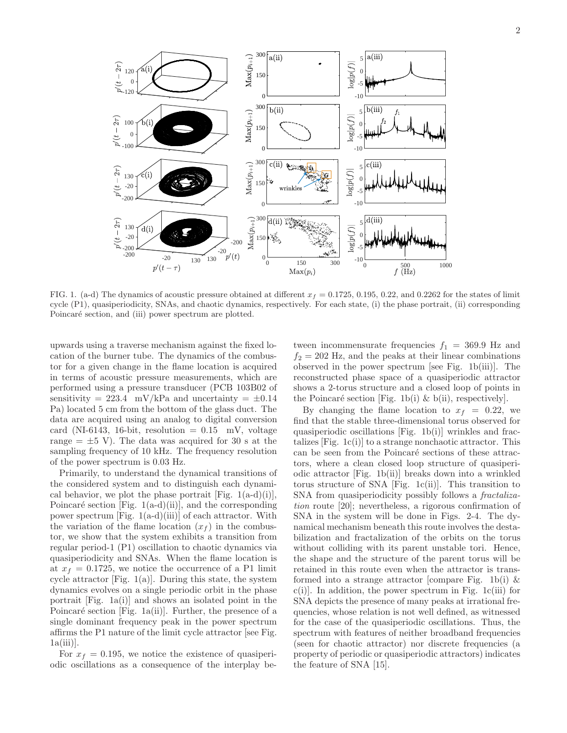

FIG. 1. (a-d) The dynamics of acoustic pressure obtained at different  $x_f = 0.1725, 0.195, 0.22,$  and 0.2262 for the states of limit cycle (P1), quasiperiodicity, SNAs, and chaotic dynamics, respectively. For each state, (i) the phase portrait, (ii) corresponding Poincaré section, and (iii) power spectrum are plotted.

upwards using a traverse mechanism against the fixed location of the burner tube. The dynamics of the combustor for a given change in the flame location is acquired in terms of acoustic pressure measurements, which are performed using a pressure transducer (PCB 103B02 of sensitivity = 223.4 mV/kPa and uncertainty =  $\pm 0.14$ Pa) located 5 cm from the bottom of the glass duct. The data are acquired using an analog to digital conversion card (NI-6143, 16-bit, resolution  $= 0.15$  mV, voltage range  $=\pm 5$  V). The data was acquired for 30 s at the sampling frequency of 10 kHz. The frequency resolution of the power spectrum is 0.03 Hz.

Primarily, to understand the dynamical transitions of the considered system and to distinguish each dynamical behavior, we plot the phase portrait [Fig.  $1(a-d)(i)$ ], Poincaré section [Fig. 1(a-d)(ii)], and the corresponding power spectrum [Fig. 1(a-d)(iii)] of each attractor. With the variation of the flame location  $(x_f)$  in the combustor, we show that the system exhibits a transition from regular period-1 (P1) oscillation to chaotic dynamics via quasiperiodicity and SNAs. When the flame location is at  $x_f = 0.1725$ , we notice the occurrence of a P1 limit cycle attractor  $[Fig. 1(a)].$  During this state, the system dynamics evolves on a single periodic orbit in the phase portrait [Fig. 1a(i)] and shows an isolated point in the Poincaré section [Fig. 1a(ii)]. Further, the presence of a single dominant frequency peak in the power spectrum affirms the P1 nature of the limit cycle attractor [see Fig.  $1a(iii)$ .

For  $x_f = 0.195$ , we notice the existence of quasiperiodic oscillations as a consequence of the interplay be-

tween incommensurate frequencies  $f_1 = 369.9$  Hz and  $f_2 = 202$  Hz, and the peaks at their linear combinations observed in the power spectrum [see Fig. 1b(iii)]. The reconstructed phase space of a quasiperiodic attractor shows a 2-torus structure and a closed loop of points in the Poincaré section [Fig. 1b(i)  $\&$  b(ii), respectively].

By changing the flame location to  $x_f = 0.22$ , we find that the stable three-dimensional torus observed for quasiperiodic oscillations [Fig. 1b(i)] wrinkles and fractalizes  $[Fig. 1c(i)]$  to a strange nonchaotic attractor. This can be seen from the Poincaré sections of these attractors, where a clean closed loop structure of quasiperiodic attractor [Fig. 1b(ii)] breaks down into a wrinkled torus structure of SNA [Fig. 1c(ii)]. This transition to SNA from quasiperiodicity possibly follows a *fractaliza*tion route [20]; nevertheless, a rigorous confirmation of SNA in the system will be done in Figs. 2-4. The dynamical mechanism beneath this route involves the destabilization and fractalization of the orbits on the torus without colliding with its parent unstable tori. Hence, the shape and the structure of the parent torus will be retained in this route even when the attractor is transformed into a strange attractor [compare Fig. 1b(i)  $\&$  $c(i)$ . In addition, the power spectrum in Fig. 1 $c(iii)$  for SNA depicts the presence of many peaks at irrational frequencies, whose relation is not well defined, as witnessed for the case of the quasiperiodic oscillations. Thus, the spectrum with features of neither broadband frequencies (seen for chaotic attractor) nor discrete frequencies (a property of periodic or quasiperiodic attractors) indicates the feature of SNA [15].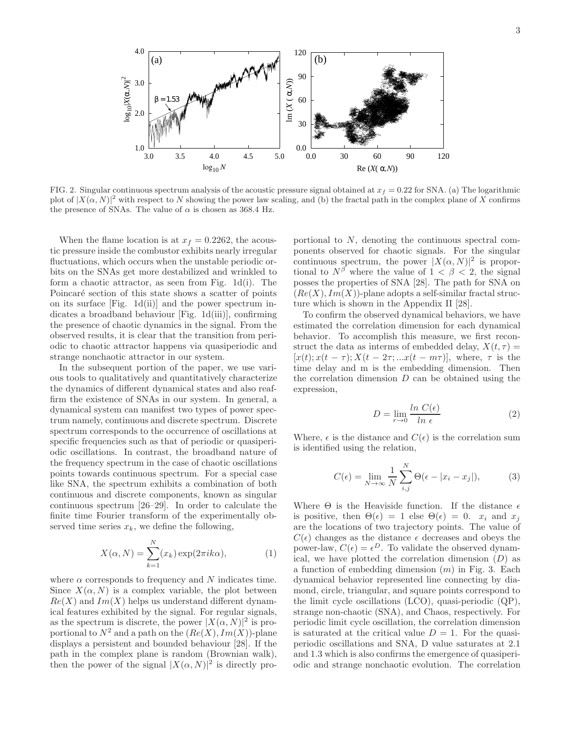

FIG. 2. Singular continuous spectrum analysis of the acoustic pressure signal obtained at  $x_f = 0.22$  for SNA. (a) The logarithmic plot of  $|X(\alpha, N)|^2$  with respect to N showing the power law scaling, and (b) the fractal path in the complex plane of X confirms the presence of SNAs. The value of  $\alpha$  is chosen as 368.4 Hz.

When the flame location is at  $x_f = 0.2262$ , the acoustic pressure inside the combustor exhibits nearly irregular fluctuations, which occurs when the unstable periodic orbits on the SNAs get more destabilized and wrinkled to form a chaotic attractor, as seen from Fig. 1d(i). The Poincaré section of this state shows a scatter of points on its surface [Fig. 1d(ii)] and the power spectrum indicates a broadband behaviour [Fig. 1d(iii)], confirming the presence of chaotic dynamics in the signal. From the observed results, it is clear that the transition from periodic to chaotic attractor happens via quasiperiodic and strange nonchaotic attractor in our system.

In the subsequent portion of the paper, we use various tools to qualitatively and quantitatively characterize the dynamics of different dynamical states and also reaffirm the existence of SNAs in our system. In general, a dynamical system can manifest two types of power spectrum namely, continuous and discrete spectrum. Discrete spectrum corresponds to the occurrence of oscillations at specific frequencies such as that of periodic or quasiperiodic oscillations. In contrast, the broadband nature of the frequency spectrum in the case of chaotic oscillations points towards continuous spectrum. For a special case like SNA, the spectrum exhibits a combination of both continuous and discrete components, known as singular continuous spectrum [26–29]. In order to calculate the finite time Fourier transform of the experimentally observed time series  $x_k$ , we define the following,

$$
X(\alpha, N) = \sum_{k=1}^{N} (x_k) \exp(2\pi i k\alpha),
$$
 (1)

where  $\alpha$  corresponds to frequency and N indicates time. Since  $X(\alpha, N)$  is a complex variable, the plot between  $Re(X)$  and  $Im(X)$  helps us understand different dynamical features exhibited by the signal. For regular signals, as the spectrum is discrete, the power  $|X(\alpha, N)|^2$  is proportional to  $N^2$  and a path on the  $(Re(X), Im(X))$ -plane displays a persistent and bounded behaviour [28]. If the path in the complex plane is random (Brownian walk), then the power of the signal  $|X(\alpha, N)|^2$  is directly pro-

portional to N, denoting the continuous spectral components observed for chaotic signals. For the singular continuous spectrum, the power  $|X(\alpha, N)|^2$  is proportional to  $N^{\beta}$  where the value of  $1 < \beta < 2$ , the signal posses the properties of SNA [28]. The path for SNA on  $(Re(X), Im(X))$ -plane adopts a self-similar fractal structure which is shown in the Appendix II [28].

To confirm the observed dynamical behaviors, we have estimated the correlation dimension for each dynamical behavior. To accomplish this measure, we first reconstruct the data as interms of embedded delay,  $X(t, \tau) =$  $[x(t); x(t - \tau); X(t - 2\tau; ...x(t - m\tau)],$  where,  $\tau$  is the time delay and m is the embedding dimension. Then the correlation dimension  $D$  can be obtained using the expression,

$$
D = \lim_{r \to 0} \frac{\ln C(\epsilon)}{\ln \epsilon} \tag{2}
$$

Where,  $\epsilon$  is the distance and  $C(\epsilon)$  is the correlation sum is identified using the relation,

$$
C(\epsilon) = \lim_{N \to \infty} \frac{1}{N} \sum_{i,j}^{N} \Theta(\epsilon - |x_i - x_j|), \tag{3}
$$

Where  $\Theta$  is the Heaviside function. If the distance  $\epsilon$ is positive, then  $\Theta(\epsilon) = 1$  else  $\Theta(\epsilon) = 0$ .  $x_i$  and  $x_j$ are the locations of two trajectory points. The value of  $C(\epsilon)$  changes as the distance  $\epsilon$  decreases and obeys the power-law,  $C(\epsilon) = \epsilon^D$ . To validate the observed dynamical, we have plotted the correlation dimension  $(D)$  as a function of embedding dimension  $(m)$  in Fig. 3. Each dynamical behavior represented line connecting by diamond, circle, triangular, and square points correspond to the limit cycle oscillations (LCO), quasi-periodic (QP), strange non-chaotic (SNA), and Chaos, respectively. For periodic limit cycle oscillation, the correlation dimension is saturated at the critical value  $D = 1$ . For the quasiperiodic oscillations and SNA, D value saturates at 2.1 and 1.3 which is also confirms the emergence of quasiperiodic and strange nonchaotic evolution. The correlation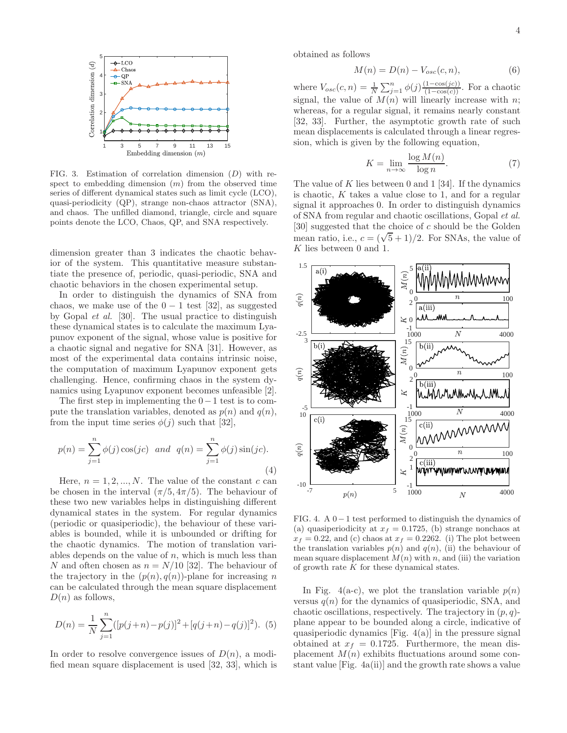

FIG. 3. Estimation of correlation dimension (D) with respect to embedding dimension  $(m)$  from the observed time series of different dynamical states such as limit cycle (LCO), quasi-periodicity (QP), strange non-chaos attractor (SNA), and chaos. The unfilled diamond, triangle, circle and square points denote the LCO, Chaos, QP, and SNA respectively.

dimension greater than 3 indicates the chaotic behavior of the system. This quantitative measure substantiate the presence of, periodic, quasi-periodic, SNA and chaotic behaviors in the chosen experimental setup.

In order to distinguish the dynamics of SNA from chaos, we make use of the  $0 - 1$  test [32], as suggested by Gopal et al. [30]. The usual practice to distinguish these dynamical states is to calculate the maximum Lyapunov exponent of the signal, whose value is positive for a chaotic signal and negative for SNA [31]. However, as most of the experimental data contains intrinsic noise, the computation of maximum Lyapunov exponent gets challenging. Hence, confirming chaos in the system dynamics using Lyapunov exponent becomes unfeasible [2].

The first step in implementing the  $0-1$  test is to compute the translation variables, denoted as  $p(n)$  and  $q(n)$ , from the input time series  $\phi(j)$  such that [32],

$$
p(n) = \sum_{j=1}^{n} \phi(j) \cos(jc) \text{ and } q(n) = \sum_{j=1}^{n} \phi(j) \sin(jc).
$$
\n(4)

Here,  $n = 1, 2, ..., N$ . The value of the constant c can be chosen in the interval  $(\pi/5, 4\pi/5)$ . The behaviour of these two new variables helps in distinguishing different dynamical states in the system. For regular dynamics (periodic or quasiperiodic), the behaviour of these variables is bounded, while it is unbounded or drifting for the chaotic dynamics. The motion of translation variables depends on the value of  $n$ , which is much less than N and often chosen as  $n = N/10$  [32]. The behaviour of the trajectory in the  $(p(n), q(n))$ -plane for increasing n can be calculated through the mean square displacement  $D(n)$  as follows,

$$
D(n) = \frac{1}{N} \sum_{j=1}^{n} ([p(j+n) - p(j)]^{2} + [q(j+n) - q(j)]^{2}).
$$
 (5)

In order to resolve convergence issues of  $D(n)$ , a modified mean square displacement is used [32, 33], which is obtained as follows

$$
M(n) = D(n) - V_{osc}(c, n),\tag{6}
$$

where  $V_{osc}(c, n) = \frac{1}{N} \sum_{j=1}^{n} \phi(j) \frac{(1 - \cos(jc))}{(1 - \cos(c))}$ . For a chaotic signal, the value of  $M(n)$  will linearly increase with n; whereas, for a regular signal, it remains nearly constant [32, 33]. Further, the asymptotic growth rate of such mean displacements is calculated through a linear regression, which is given by the following equation,

$$
K = \lim_{n \to \infty} \frac{\log M(n)}{\log n}.
$$
 (7)

The value of  $K$  lies between 0 and 1 [34]. If the dynamics is chaotic,  $K$  takes a value close to 1, and for a regular signal it approaches 0. In order to distinguish dynamics of SNA from regular and chaotic oscillations, Gopal et al. [30] suggested that the choice of c should be the Golden mean ratio, i.e.,  $c = (\sqrt{5} + 1)/2$ . For SNAs, the value of K lies between 0 and 1.



FIG. 4. A 0−1 test performed to distinguish the dynamics of (a) quasiperiodicity at  $x_f = 0.1725$ , (b) strange nonchaos at  $x_f = 0.22$ , and (c) chaos at  $x_f = 0.2262$ . (i) The plot between the translation variables  $p(n)$  and  $q(n)$ , (ii) the behaviour of mean square displacement  $M(n)$  with n, and (iii) the variation of growth rate  $K$  for these dynamical states.

In Fig. 4(a-c), we plot the translation variable  $p(n)$ versus  $q(n)$  for the dynamics of quasiperiodic, SNA, and chaotic oscillations, respectively. The trajectory in  $(p, q)$ plane appear to be bounded along a circle, indicative of quasiperiodic dynamics  $[Fig. 4(a)]$  in the pressure signal obtained at  $x_f = 0.1725$ . Furthermore, the mean displacement  $M(n)$  exhibits fluctuations around some constant value [Fig. 4a(ii)] and the growth rate shows a value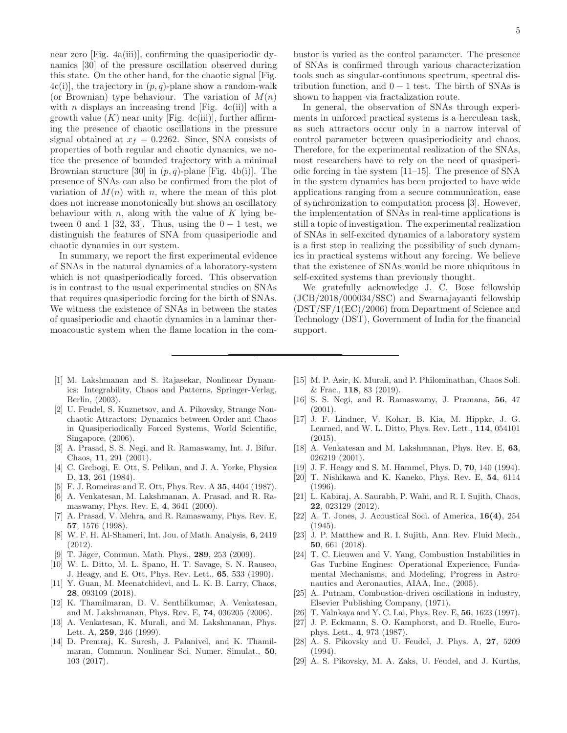near zero [Fig. 4a(iii)], confirming the quasiperiodic dynamics [30] of the pressure oscillation observed during this state. On the other hand, for the chaotic signal [Fig.  $4c(i)$ , the trajectory in  $(p, q)$ -plane show a random-walk (or Brownian) type behaviour. The variation of  $M(n)$ with *n* displays an increasing trend [Fig. 4c(ii)] with a growth value  $(K)$  near unity [Fig. 4c(iii)], further affirming the presence of chaotic oscillations in the pressure signal obtained at  $x_f = 0.2262$ . Since, SNA consists of properties of both regular and chaotic dynamics, we notice the presence of bounded trajectory with a minimal Brownian structure [30] in  $(p, q)$ -plane [Fig. 4b(i)]. The presence of SNAs can also be confirmed from the plot of variation of  $M(n)$  with n, where the mean of this plot does not increase monotonically but shows an oscillatory behaviour with  $n$ , along with the value of  $K$  lying between 0 and 1 [32, 33]. Thus, using the  $0 - 1$  test, we distinguish the features of SNA from quasiperiodic and chaotic dynamics in our system.

In summary, we report the first experimental evidence of SNAs in the natural dynamics of a laboratory-system which is not quasiperiodically forced. This observation is in contrast to the usual experimental studies on SNAs that requires quasiperiodic forcing for the birth of SNAs. We witness the existence of SNAs in between the states of quasiperiodic and chaotic dynamics in a laminar thermoacoustic system when the flame location in the combustor is varied as the control parameter. The presence of SNAs is confirmed through various characterization tools such as singular-continuous spectrum, spectral distribution function, and  $0 - 1$  test. The birth of SNAs is shown to happen via fractalization route.

In general, the observation of SNAs through experiments in unforced practical systems is a herculean task, as such attractors occur only in a narrow interval of control parameter between quasiperiodicity and chaos. Therefore, for the experimental realization of the SNAs, most researchers have to rely on the need of quasiperiodic forcing in the system [11–15]. The presence of SNA in the system dynamics has been projected to have wide applications ranging from a secure communication, ease of synchronization to computation process [3]. However, the implementation of SNAs in real-time applications is still a topic of investigation. The experimental realization of SNAs in self-excited dynamics of a laboratory system is a first step in realizing the possibility of such dynamics in practical systems without any forcing. We believe that the existence of SNAs would be more ubiquitous in self-excited systems than previously thought.

We gratefully acknowledge J. C. Bose fellowship (JCB/2018/000034/SSC) and Swarnajayanti fellowship (DST/SF/1(EC)/2006) from Department of Science and Technology (DST), Government of India for the financial support.

- [1] M. Lakshmanan and S. Rajasekar, Nonlinear Dynamics: Integrability, Chaos and Patterns, Springer-Verlag, Berlin, (2003).
- [2] U. Feudel, S. Kuznetsov, and A. Pikovsky, Strange Nonchaotic Attractors: Dynamics between Order and Chaos in Quasiperiodically Forced Systems, World Scientific, Singapore, (2006).
- [3] A. Prasad, S. S. Negi, and R. Ramaswamy, Int. J. Bifur. Chaos, 11, 291 (2001).
- [4] C. Grebogi, E. Ott, S. Pelikan, and J. A. Yorke, Physica D, 13, 261 (1984).
- [5] F. J. Romeiras and E. Ott, Phys. Rev. A 35, 4404 (1987).
- [6] A. Venkatesan, M. Lakshmanan, A. Prasad, and R. Ramaswamy, Phys. Rev. E, 4, 3641 (2000).
- [7] A. Prasad, V. Mehra, and R. Ramaswamy, Phys. Rev. E, 57, 1576 (1998).
- [8] W. F. H. Al-Shameri, Int. Jou. of Math. Analysis, 6, 2419 (2012).
- [9] T. Jäger, Commun. Math. Phys., 289, 253 (2009).
- [10] W. L. Ditto, M. L. Spano, H. T. Savage, S. N. Rauseo, J. Heagy, and E. Ott, Phys. Rev. Lett., 65, 533 (1990).
- [11] Y. Guan, M. Meenatchidevi, and L. K. B. Larry, Chaos, 28, 093109 (2018).
- [12] K. Thamilmaran, D. V. Senthilkumar, A. Venkatesan, and M. Lakshmanan, Phys. Rev. E, 74, 036205 (2006).
- [13] A. Venkatesan, K. Murali, and M. Lakshmanan, Phys. Lett. A, 259, 246 (1999).
- [14] D. Premraj, K. Suresh, J. Palanivel, and K. Thamilmaran, Commun. Nonlinear Sci. Numer. Simulat., 50, 103 (2017).
- [15] M. P. Asir, K. Murali, and P. Philominathan, Chaos Soli. & Frac., 118, 83 (2019).
- [16] S. S. Negi, and R. Ramaswamy, J. Pramana, 56, 47 (2001).
- [17] J. F. Lindner, V. Kohar, B. Kia, M. Hippkr, J. G. Learned, and W. L. Ditto, Phys. Rev. Lett., 114, 054101 (2015).
- [18] A. Venkatesan and M. Lakshmanan, Phys. Rev. E, 63, 026219 (2001).
- [19] J. F. Heagy and S. M. Hammel, Phys. D, **70**, 140 (1994).
- [20] T. Nishikawa and K. Kaneko, Phys. Rev. E, 54, 6114 (1996).
- [21] L. Kabiraj, A. Saurabh, P. Wahi, and R. I. Sujith, Chaos, 22, 023129 (2012).
- [22] A. T. Jones, J. Acoustical Soci. of America, 16(4), 254 (1945).
- [23] J. P. Matthew and R. I. Sujith, Ann. Rev. Fluid Mech., 50, 661 (2018).
- [24] T. C. Lieuwen and V. Yang, Combustion Instabilities in Gas Turbine Engines: Operational Experience, Fundamental Mechanisms, and Modeling, Progress in Astronautics and Aeronautics, AIAA, Inc., (2005).
- [25] A. Putnam, Combustion-driven oscillations in industry, Elsevier Publishing Company, (1971).
- [26] T. Yalnkaya and Y. C. Lai, Phys. Rev. E, 56, 1623 (1997).
- [27] J. P. Eckmann, S. O. Kamphorst, and D. Ruelle, Europhys. Lett., 4, 973 (1987).
- [28] A. S. Pikovsky and U. Feudel, J. Phys. A, 27, 5209 (1994).
- [29] A. S. Pikovsky, M. A. Zaks, U. Feudel, and J. Kurths,